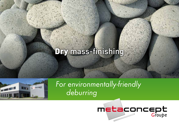# Dry mass-finishing



 *For environmentally-friendly deburring*

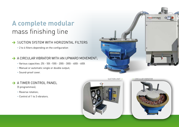## **A complete modular**  mass finishing line

 $\rightarrow$  SUCTION SYSTEM WITH HORIZONTAL FILTERS

• 2 to 4 filters depending on the configuration

 $\rightarrow$  A CIRCULAR VIBRATOR WITH AN UPWARD MOVEMENT;

- Various capacities: 25l 50l -100l 200l 300l 400l 600l
- Manual or automatic single or double output;
- Sound-proof cover.

#### $\rightarrow$  A TIMER CONTROL PANEL

(5 programmes);

- Reverse rotation;
- Control of 1 to 3 vibrators.



SUCTION UNIT • • • CIRCULAR VIBRATOR

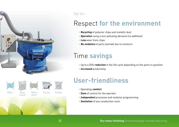

#### Opt for:

### Respect **for the environment**

- **Recycling** of polymer chips and metallic dust
- **Operation** using a non-polluting abrasive (no additives)
- **Less** wear from chips
- **No oxidation** of parts (zamak) due to moisture

#### Time **savings**

- Up to a 20% **reduction** in the life cycle depending on the parts in question
- **Increased** productivity

#### **User-friendliness**

• Operating **comfort** 

l.

- **Ease** of control for the operator
- **Independent** processes and modular programming
- **Sanitation** of your production room

**Dry mass-finishing** Environmentally-friendly deburring

Water Soap

**Liquid** 

**Waste** water

Drying Sludge